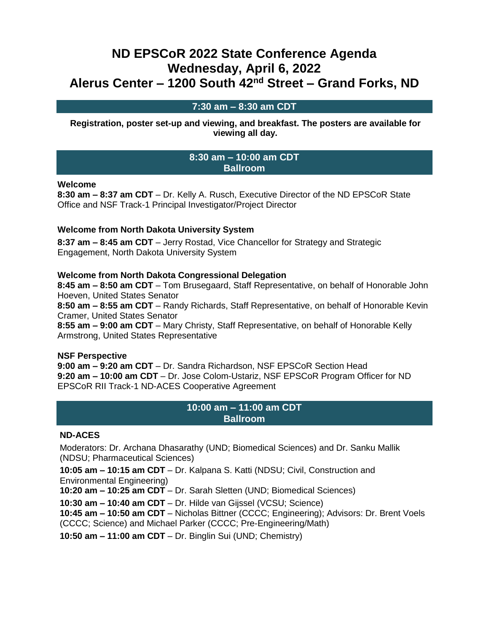# **ND EPSCoR 2022 State Conference Agenda Wednesday, April 6, 2022 Alerus Center – 1200 South 42nd Street – Grand Forks, ND**

# **7:30 am – 8:30 am CDT**

**Registration, poster set-up and viewing, and breakfast. The posters are available for viewing all day.**

#### **8:30 am – 10:00 am CDT Ballroom**

#### **Welcome**

**8:30 am – 8:37 am CDT** – Dr. Kelly A. Rusch, Executive Director of the ND EPSCoR State Office and NSF Track-1 Principal Investigator/Project Director

#### **Welcome from North Dakota University System**

**8:37 am – 8:45 am CDT** – Jerry Rostad, Vice Chancellor for Strategy and Strategic Engagement, North Dakota University System

#### **Welcome from North Dakota Congressional Delegation**

**8:45 am – 8:50 am CDT** – Tom Brusegaard, Staff Representative, on behalf of Honorable John Hoeven, United States Senator

**8:50 am – 8:55 am CDT** – Randy Richards, Staff Representative, on behalf of Honorable Kevin Cramer, United States Senator

**8:55 am – 9:00 am CDT** – Mary Christy, Staff Representative, on behalf of Honorable Kelly Armstrong, United States Representative

#### **NSF Perspective**

**9:00 am – 9:20 am CDT** – Dr. Sandra Richardson, NSF EPSCoR Section Head **9:20 am – 10:00 am CDT** – Dr. Jose Colom-Ustariz, NSF EPSCoR Program Officer for ND EPSCoR RII Track-1 ND-ACES Cooperative Agreement

### **10:00 am – 11:00 am CDT Ballroom**

#### **ND-ACES**

Moderators: Dr. Archana Dhasarathy (UND; Biomedical Sciences) and Dr. Sanku Mallik (NDSU; Pharmaceutical Sciences)

**10:05 am – 10:15 am CDT** – Dr. Kalpana S. Katti (NDSU; Civil, Construction and Environmental Engineering)

**10:20 am – 10:25 am CDT** – Dr. Sarah Sletten (UND; Biomedical Sciences)

**10:30 am – 10:40 am CDT** – Dr. Hilde van Gijssel (VCSU; Science)

**10:45 am – 10:50 am CDT** – Nicholas Bittner (CCCC; Engineering); Advisors: Dr. Brent Voels (CCCC; Science) and Michael Parker (CCCC; Pre-Engineering/Math)

**10:50 am – 11:00 am CDT** – Dr. Binglin Sui (UND; Chemistry)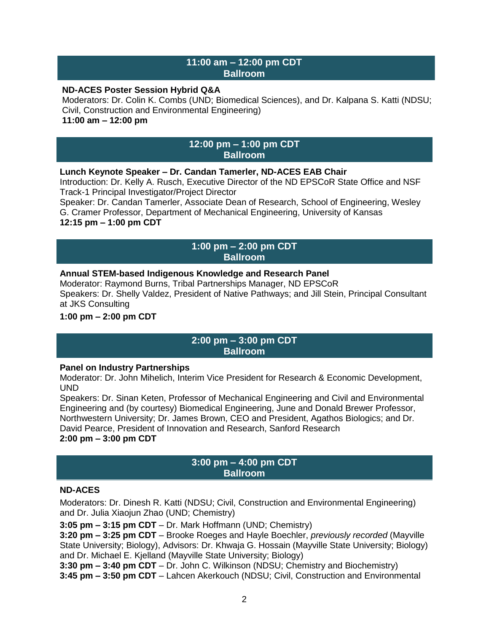### **11:00 am – 12:00 pm CDT Ballroom**

#### **ND-ACES Poster Session Hybrid Q&A**

Moderators: Dr. Colin K. Combs (UND; Biomedical Sciences), and Dr. Kalpana S. Katti (NDSU; Civil, Construction and Environmental Engineering) **11:00 am – 12:00 pm**

#### **12:00 pm – 1:00 pm CDT Ballroom**

#### **Lunch Keynote Speaker – Dr. Candan Tamerler, ND-ACES EAB Chair**

Introduction: Dr. Kelly A. Rusch, Executive Director of the ND EPSCoR State Office and NSF Track-1 Principal Investigator/Project Director

Speaker: Dr. Candan Tamerler, Associate Dean of Research, School of Engineering, Wesley G. Cramer Professor, Department of Mechanical Engineering, University of Kansas

# **12:15 pm – 1:00 pm CDT**

# **1:00 pm – 2:00 pm CDT Ballroom**

# **Annual STEM-based Indigenous Knowledge and Research Panel**

Moderator: Raymond Burns, Tribal Partnerships Manager, ND EPSCoR Speakers: Dr. Shelly Valdez, President of Native Pathways; and Jill Stein, Principal Consultant at JKS Consulting

# **1:00 pm – 2:00 pm CDT**

# **2:00 pm – 3:00 pm CDT Ballroom**

#### **Panel on Industry Partnerships**

Moderator: Dr. John Mihelich, Interim Vice President for Research & Economic Development, UND

Speakers: Dr. Sinan Keten, Professor of Mechanical Engineering and Civil and Environmental Engineering and (by courtesy) Biomedical Engineering, June and Donald Brewer Professor, Northwestern University; Dr. James Brown, CEO and President, Agathos Biologics; and Dr. David Pearce, President of Innovation and Research, Sanford Research **2:00 pm – 3:00 pm CDT**

#### **3:00 pm – 4:00 pm CDT Ballroom**

#### **ND-ACES**

Moderators: Dr. Dinesh R. Katti (NDSU; Civil, Construction and Environmental Engineering) and Dr. Julia Xiaojun Zhao (UND; Chemistry)

**3:05 pm – 3:15 pm CDT** – Dr. Mark Hoffmann (UND; Chemistry)

**3:20 pm – 3:25 pm CDT** – Brooke Roeges and Hayle Boechler, *previously recorded* (Mayville State University; Biology), Advisors: Dr. Khwaja G. Hossain (Mayville State University; Biology) and Dr. Michael E. Kjelland (Mayville State University; Biology)

**3:30 pm – 3:40 pm CDT** – Dr. John C. Wilkinson (NDSU; Chemistry and Biochemistry) **3:45 pm – 3:50 pm CDT** – Lahcen Akerkouch (NDSU; Civil, Construction and Environmental